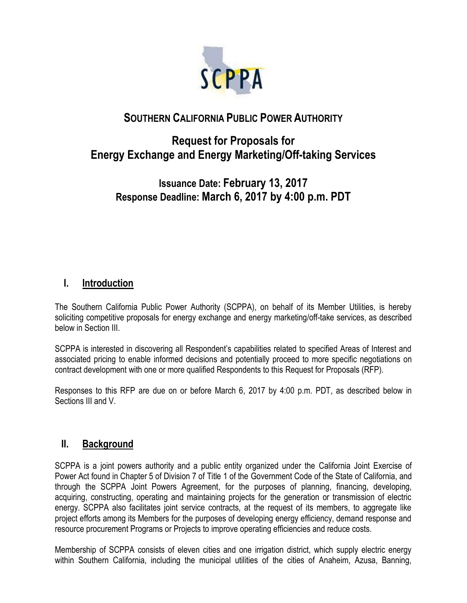

# **SOUTHERN CALIFORNIA PUBLIC POWER AUTHORITY**

# **Request for Proposals for Energy Exchange and Energy Marketing/Off-taking Services**

# **Issuance Date: February 13, 2017 Response Deadline: March 6, 2017 by 4:00 p.m. PDT**

## **I. Introduction**

The Southern California Public Power Authority (SCPPA), on behalf of its Member Utilities, is hereby soliciting competitive proposals for energy exchange and energy marketing/off-take services, as described below in Section III.

SCPPA is interested in discovering all Respondent's capabilities related to specified Areas of Interest and associated pricing to enable informed decisions and potentially proceed to more specific negotiations on contract development with one or more qualified Respondents to this Request for Proposals (RFP).

Responses to this RFP are due on or before March 6, 2017 by 4:00 p.m. PDT, as described below in Sections III and V.

### **II. Background**

SCPPA is a joint powers authority and a public entity organized under the California Joint Exercise of Power Act found in Chapter 5 of Division 7 of Title 1 of the Government Code of the State of California, and through the SCPPA Joint Powers Agreement, for the purposes of planning, financing, developing, acquiring, constructing, operating and maintaining projects for the generation or transmission of electric energy. SCPPA also facilitates joint service contracts, at the request of its members, to aggregate like project efforts among its Members for the purposes of developing energy efficiency, demand response and resource procurement Programs or Projects to improve operating efficiencies and reduce costs.

Membership of SCPPA consists of eleven cities and one irrigation district, which supply electric energy within Southern California, including the municipal utilities of the cities of Anaheim, Azusa, Banning,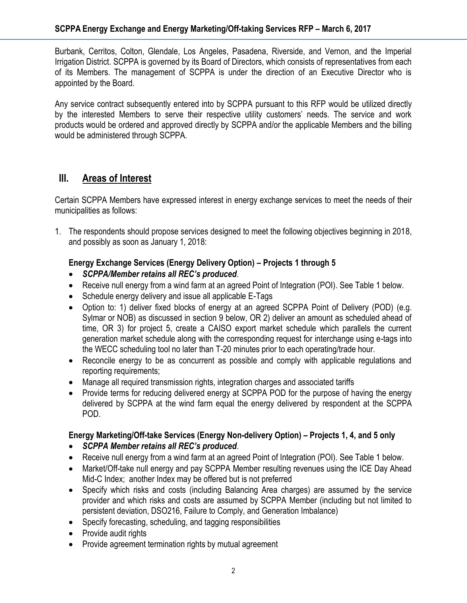Burbank, Cerritos, Colton, Glendale, Los Angeles, Pasadena, Riverside, and Vernon, and the Imperial Irrigation District. SCPPA is governed by its Board of Directors, which consists of representatives from each of its Members. The management of SCPPA is under the direction of an Executive Director who is appointed by the Board.

Any service contract subsequently entered into by SCPPA pursuant to this RFP would be utilized directly by the interested Members to serve their respective utility customers' needs. The service and work products would be ordered and approved directly by SCPPA and/or the applicable Members and the billing would be administered through SCPPA.

### **III. Areas of Interest**

Certain SCPPA Members have expressed interest in energy exchange services to meet the needs of their municipalities as follows:

1. The respondents should propose services designed to meet the following objectives beginning in 2018, and possibly as soon as January 1, 2018:

#### **Energy Exchange Services (Energy Delivery Option) – Projects 1 through 5**

- *SCPPA/Member retains all REC's produced*.
- Receive null energy from a wind farm at an agreed Point of Integration (POI). See Table 1 below.
- Schedule energy delivery and issue all applicable E-Tags
- Option to: 1) deliver fixed blocks of energy at an agreed SCPPA Point of Delivery (POD) (e.g. Sylmar or NOB) as discussed in section 9 below, OR 2) deliver an amount as scheduled ahead of time, OR 3) for project 5, create a CAISO export market schedule which parallels the current generation market schedule along with the corresponding request for interchange using e-tags into the WECC scheduling tool no later than T-20 minutes prior to each operating/trade hour.
- Reconcile energy to be as concurrent as possible and comply with applicable regulations and reporting requirements;
- Manage all required transmission rights, integration charges and associated tariffs
- Provide terms for reducing delivered energy at SCPPA POD for the purpose of having the energy delivered by SCPPA at the wind farm equal the energy delivered by respondent at the SCPPA POD.

#### **Energy Marketing/Off-take Services (Energy Non-delivery Option) – Projects 1, 4, and 5 only**

- *SCPPA Member retains all REC's produced*.
- Receive null energy from a wind farm at an agreed Point of Integration (POI). See Table 1 below.
- Market/Off-take null energy and pay SCPPA Member resulting revenues using the ICE Day Ahead Mid-C Index; another Index may be offered but is not preferred
- Specify which risks and costs (including Balancing Area charges) are assumed by the service provider and which risks and costs are assumed by SCPPA Member (including but not limited to persistent deviation, DSO216, Failure to Comply, and Generation Imbalance)
- Specify forecasting, scheduling, and tagging responsibilities
- Provide audit rights
- Provide agreement termination rights by mutual agreement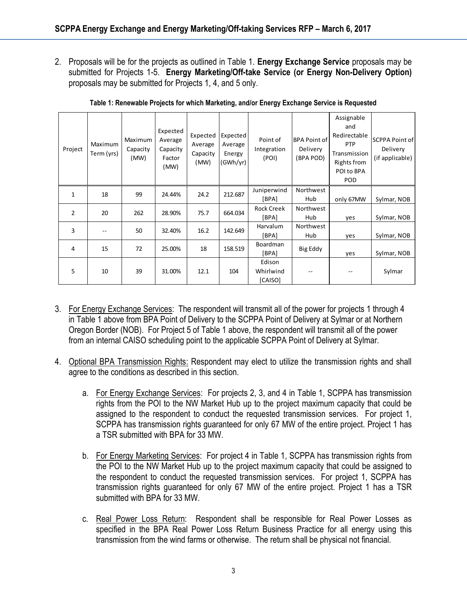2. Proposals will be for the projects as outlined in Table 1. **Energy Exchange Service** proposals may be submitted for Projects 1-5. **Energy Marketing/Off-take Service (or Energy Non-Delivery Option)** proposals may be submitted for Projects 1, 4, and 5 only.

| Project        | Maximum<br>Term (yrs) | Maximum<br>Capacity<br>(MW) | Expected<br>Average<br>Capacity<br>Factor<br>(MW) | Expected<br>Average<br>Capacity<br>(MW) | Expected<br>Average<br>Energy<br>(GWh/yr) | Point of<br>Integration<br>(POI) | <b>BPA Point of</b><br>Delivery<br>(BPA POD) | Assignable<br>and<br>Redirectable<br>PTP<br>Transmission<br>Rights from<br>POI to BPA<br>POD | SCPPA Point of<br>Delivery<br>(if applicable) |
|----------------|-----------------------|-----------------------------|---------------------------------------------------|-----------------------------------------|-------------------------------------------|----------------------------------|----------------------------------------------|----------------------------------------------------------------------------------------------|-----------------------------------------------|
| 1              | 18                    | 99                          | 24.44%                                            | 24.2                                    | 212.687                                   | Juniperwind<br>[BPA]             | Northwest<br>Hub                             | only 67MW                                                                                    | Sylmar, NOB                                   |
| $\overline{2}$ | 20                    | 262                         | 28.90%                                            | 75.7                                    | 664.034                                   | <b>Rock Creek</b><br>[BPA]       | Northwest<br>Hub                             | yes                                                                                          | Sylmar, NOB                                   |
| 3              |                       | 50                          | 32.40%                                            | 16.2                                    | 142.649                                   | <b>Harvalum</b><br>[BPA]         | Northwest<br>Hub                             | yes                                                                                          | Sylmar, NOB                                   |
| 4              | 15                    | 72                          | 25.00%                                            | 18                                      | 158.519                                   | <b>Boardman</b><br>[BPA]         | Big Eddy                                     | yes                                                                                          | Sylmar, NOB                                   |
| 5              | 10                    | 39                          | 31.00%                                            | 12.1                                    | 104                                       | Edison<br>Whirlwind<br>[CAISO]   |                                              |                                                                                              | Sylmar                                        |

**Table 1: Renewable Projects for which Marketing, and/or Energy Exchange Service is Requested**

- 3. For Energy Exchange Services: The respondent will transmit all of the power for projects 1 through 4 in Table 1 above from BPA Point of Delivery to the SCPPA Point of Delivery at Sylmar or at Northern Oregon Border (NOB). For Project 5 of Table 1 above, the respondent will transmit all of the power from an internal CAISO scheduling point to the applicable SCPPA Point of Delivery at Sylmar.
- 4. Optional BPA Transmission Rights: Respondent may elect to utilize the transmission rights and shall agree to the conditions as described in this section.
	- a. For Energy Exchange Services: For projects 2, 3, and 4 in Table 1, SCPPA has transmission rights from the POI to the NW Market Hub up to the project maximum capacity that could be assigned to the respondent to conduct the requested transmission services. For project 1, SCPPA has transmission rights guaranteed for only 67 MW of the entire project. Project 1 has a TSR submitted with BPA for 33 MW.
	- b. For Energy Marketing Services: For project 4 in Table 1, SCPPA has transmission rights from the POI to the NW Market Hub up to the project maximum capacity that could be assigned to the respondent to conduct the requested transmission services. For project 1, SCPPA has transmission rights guaranteed for only 67 MW of the entire project. Project 1 has a TSR submitted with BPA for 33 MW.
	- c. Real Power Loss Return: Respondent shall be responsible for Real Power Losses as specified in the BPA Real Power Loss Return Business Practice for all energy using this transmission from the wind farms or otherwise. The return shall be physical not financial.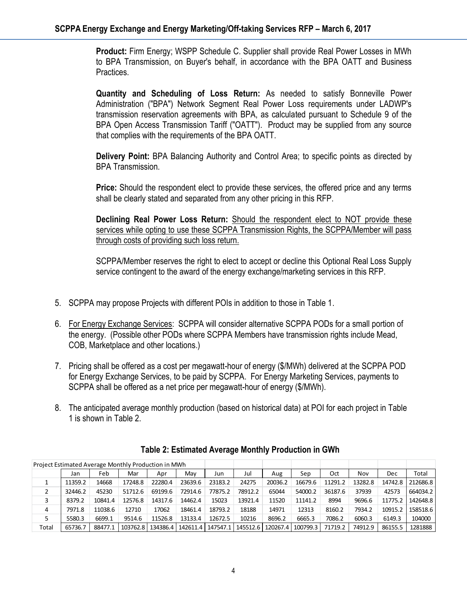**Product:** Firm Energy; WSPP Schedule C. Supplier shall provide Real Power Losses in MWh to BPA Transmission, on Buyer's behalf, in accordance with the BPA OATT and Business Practices.

**Quantity and Scheduling of Loss Return:** As needed to satisfy Bonneville Power Administration ("BPA") Network Segment Real Power Loss requirements under LADWP's transmission reservation agreements with BPA, as calculated pursuant to Schedule 9 of the BPA Open Access Transmission Tariff ("OATT"). Product may be supplied from any source that complies with the requirements of the BPA OATT.

**Delivery Point:** BPA Balancing Authority and Control Area; to specific points as directed by BPA Transmission.

**Price:** Should the respondent elect to provide these services, the offered price and any terms shall be clearly stated and separated from any other pricing in this RFP.

**Declining Real Power Loss Return:** Should the respondent elect to NOT provide these services while opting to use these SCPPA Transmission Rights, the SCPPA/Member will pass through costs of providing such loss return.

SCPPA/Member reserves the right to elect to accept or decline this Optional Real Loss Supply service contingent to the award of the energy exchange/marketing services in this RFP.

- 5. SCPPA may propose Projects with different POIs in addition to those in Table 1.
- 6. For Energy Exchange Services: SCPPA will consider alternative SCPPA PODs for a small portion of the energy. (Possible other PODs where SCPPA Members have transmission rights include Mead, COB, Marketplace and other locations.)
- 7. Pricing shall be offered as a cost per megawatt-hour of energy (\$/MWh) delivered at the SCPPA POD for Energy Exchange Services, to be paid by SCPPA. For Energy Marketing Services, payments to SCPPA shall be offered as a net price per megawatt-hour of energy (\$/MWh).
- 8. The anticipated average monthly production (based on historical data) at POI for each project in Table 1 is shown in Table 2.

| Project Estimated Average Monthly Production in MWh |         |         |          |         |                     |         |         |                                |          |         |         |         |          |
|-----------------------------------------------------|---------|---------|----------|---------|---------------------|---------|---------|--------------------------------|----------|---------|---------|---------|----------|
|                                                     | Jan     | Feb     | Mar      | Apr     | Mav                 | Jun     | Jul     | Aug                            | Sep      | Oct     | Nov     | Dec     | Total    |
|                                                     | 11359.2 | 14668   | 17248.8  | 22280.4 | 23639.6             | 23183.2 | 24275   | 20036.2                        | 16679.6  | 11291.2 | 13282.8 | 14742.8 | 212686.8 |
|                                                     | 32446.2 | 45230   | 51712.6  | 69199.6 | 72914.6             | 77875.2 | 78912.2 | 65044                          | 54000.2  | 36187.6 | 37939   | 42573   | 664034.2 |
|                                                     | 8379.2  | 10841.4 | 12576.8  | 14317.6 | 14462.4             | 15023   | 13921.4 | 11520                          | 11141.2  | 8994    | 9696.6  | 11775.2 | 142648.8 |
| 4                                                   | 7971.8  | 11038.6 | 12710    | 17062   | 18461.4             | 18793.2 | 18188   | 14971                          | 12313    | 8160.2  | 7934.2  | 10915.2 | 158518.6 |
|                                                     | 5580.3  | 6699.1  | 9514.6   | 11526.8 | 13133.4             | 12672.5 | 10216   | 8696.2                         | 6665.3   | 7086.2  | 6060.3  | 6149.3  | 104000   |
| Total                                               | 65736.7 | 88477.1 | 103762.8 |         | 134386.4   142611.4 |         |         | 147547.1   145512.6   120267.4 | 100799.3 | 71719.2 | 74912.9 | 86155.5 | 1281888  |

**Table 2: Estimated Average Monthly Production in GWh**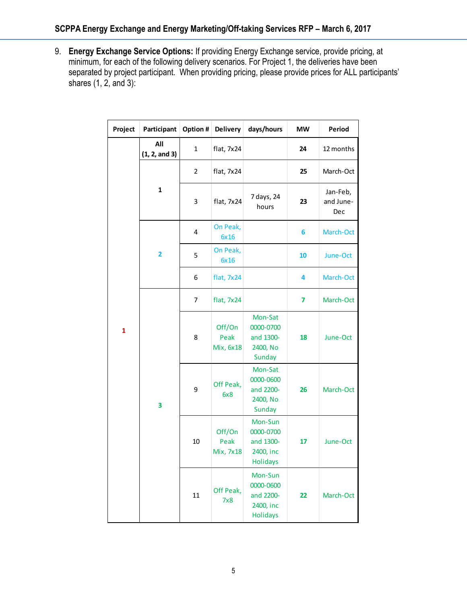9. **Energy Exchange Service Options:** If providing Energy Exchange service, provide pricing, at minimum, for each of the following delivery scenarios. For Project 1, the deliveries have been separated by project participant. When providing pricing, please provide prices for ALL participants' shares  $(1, 2,$  and  $3)$ :

| Project | Participant             | Option #       | <b>Delivery</b>             | days/hours                                                        | <b>MW</b> | Period                       |  |
|---------|-------------------------|----------------|-----------------------------|-------------------------------------------------------------------|-----------|------------------------------|--|
|         | All<br>(1, 2, and 3)    | 1              | flat, 7x24                  |                                                                   | 24        | 12 months                    |  |
|         |                         | $\overline{2}$ | flat, 7x24                  |                                                                   | 25        | March-Oct                    |  |
|         | $\mathbf{1}$            | 3              | flat, 7x24                  | 7 days, 24<br>hours                                               | 23        | Jan-Feb,<br>and June-<br>Dec |  |
|         | $\overline{\mathbf{2}}$ | 4              | On Peak,<br>6x16            |                                                                   | 6         | March-Oct                    |  |
|         |                         | 5              | On Peak,<br>6x16            |                                                                   | 10        | June-Oct                     |  |
| 1       |                         | 6              | flat, 7x24                  |                                                                   | 4         | March-Oct                    |  |
|         |                         | 7              | flat, 7x24                  |                                                                   | 7         | March-Oct                    |  |
|         |                         | 8              | Off/On<br>Peak<br>Mix, 6x18 | Mon-Sat<br>0000-0700<br>and 1300-<br>2400, No<br>Sunday           | 18        | June-Oct                     |  |
|         | 3                       | 9              | Off Peak,<br>6x8            | Mon-Sat<br>0000-0600<br>and 2200-<br>2400, No<br>Sunday           | 26        | March-Oct                    |  |
|         |                         | 10             | Off/On<br>Peak<br>Mix, 7x18 | Mon-Sun<br>0000-0700<br>and 1300-<br>2400, inc<br>Holidays        | 17        | June-Oct                     |  |
|         |                         | 11             | Off Peak,<br>7x8            | Mon-Sun<br>0000-0600<br>and 2200-<br>2400, inc<br><b>Holidays</b> | 22        | March-Oct                    |  |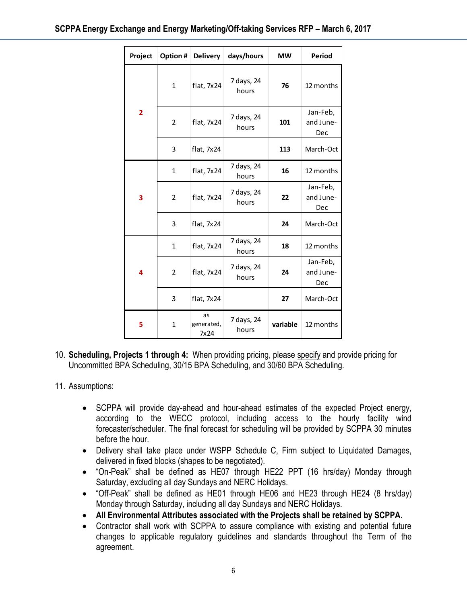|                                                                                                                                                                                                                                                                                                                                                                                                                                                                                                                                                                                                                                                                                                                                                                                                | Project                                                                                                                                             |                | Option # Delivery        | days/hours          | <b>MW</b>       | Period                       |  |  |  |  |
|------------------------------------------------------------------------------------------------------------------------------------------------------------------------------------------------------------------------------------------------------------------------------------------------------------------------------------------------------------------------------------------------------------------------------------------------------------------------------------------------------------------------------------------------------------------------------------------------------------------------------------------------------------------------------------------------------------------------------------------------------------------------------------------------|-----------------------------------------------------------------------------------------------------------------------------------------------------|----------------|--------------------------|---------------------|-----------------|------------------------------|--|--|--|--|
|                                                                                                                                                                                                                                                                                                                                                                                                                                                                                                                                                                                                                                                                                                                                                                                                |                                                                                                                                                     | $\mathbf{1}$   | flat, 7x24               | 7 days, 24<br>hours | 76              | 12 months                    |  |  |  |  |
|                                                                                                                                                                                                                                                                                                                                                                                                                                                                                                                                                                                                                                                                                                                                                                                                | $\overline{\mathbf{2}}$                                                                                                                             | $\overline{2}$ | flat, 7x24               | 7 days, 24<br>hours | 101             | Jan-Feb,<br>and June-<br>Dec |  |  |  |  |
|                                                                                                                                                                                                                                                                                                                                                                                                                                                                                                                                                                                                                                                                                                                                                                                                |                                                                                                                                                     | 3              | flat, 7x24               |                     | 113             | March-Oct                    |  |  |  |  |
|                                                                                                                                                                                                                                                                                                                                                                                                                                                                                                                                                                                                                                                                                                                                                                                                |                                                                                                                                                     | $\mathbf{1}$   | flat, 7x24               | 7 days, 24<br>hours | 16              | 12 months                    |  |  |  |  |
|                                                                                                                                                                                                                                                                                                                                                                                                                                                                                                                                                                                                                                                                                                                                                                                                | 3                                                                                                                                                   | $\overline{2}$ | flat, 7x24               | 7 days, 24<br>hours | 22<br>and June- |                              |  |  |  |  |
|                                                                                                                                                                                                                                                                                                                                                                                                                                                                                                                                                                                                                                                                                                                                                                                                |                                                                                                                                                     | 3              | flat, 7x24               |                     | 24              | March-Oct                    |  |  |  |  |
|                                                                                                                                                                                                                                                                                                                                                                                                                                                                                                                                                                                                                                                                                                                                                                                                |                                                                                                                                                     | $\mathbf{1}$   | flat, 7x24               | 7 days, 24<br>hours | 18              | 12 months                    |  |  |  |  |
|                                                                                                                                                                                                                                                                                                                                                                                                                                                                                                                                                                                                                                                                                                                                                                                                | 4                                                                                                                                                   | $\overline{2}$ | flat, 7x24               | 7 days, 24<br>hours | 24              | Jan-Feb,<br>and June-<br>Dec |  |  |  |  |
|                                                                                                                                                                                                                                                                                                                                                                                                                                                                                                                                                                                                                                                                                                                                                                                                |                                                                                                                                                     | 3              | flat, 7x24               |                     | 27              | March-Oct                    |  |  |  |  |
|                                                                                                                                                                                                                                                                                                                                                                                                                                                                                                                                                                                                                                                                                                                                                                                                | 5                                                                                                                                                   | $\mathbf{1}$   | as<br>generated,<br>7x24 | 7 days, 24<br>hours | variable        | 12 months                    |  |  |  |  |
| tions:                                                                                                                                                                                                                                                                                                                                                                                                                                                                                                                                                                                                                                                                                                                                                                                         | ling, Projects 1 through 4: When providing pricing, please specify and pr<br>nitted BPA Scheduling, 30/15 BPA Scheduling, and 30/60 BPA Scheduling. |                |                          |                     |                 |                              |  |  |  |  |
| SCPPA will provide day-ahead and hour-ahead estimates of the exped<br>according to the WECC protocol, including access to the he<br>forecaster/scheduler. The final forecast for scheduling will be provided by<br>before the hour.<br>Delivery shall take place under WSPP Schedule C, Firm subject to Li<br>delivered in fixed blocks (shapes to be negotiated).<br>"On-Peak" shall be defined as HE07 through HE22 PPT (16 hrs/da<br>Saturday, excluding all day Sundays and NERC Holidays.<br>"Off-Peak" shall be defined as HE01 through HE06 and HE23 througl<br>Monday through Saturday, including all day Sundays and NERC Holidays.<br>All Environmental Attributes associated with the Projects shall be reta<br>Contractor shall work with SCPPA to assure compliance with existing |                                                                                                                                                     |                |                          |                     |                 |                              |  |  |  |  |
| changes to applicable regulatory guidelines and standards throughou<br>agreement.                                                                                                                                                                                                                                                                                                                                                                                                                                                                                                                                                                                                                                                                                                              |                                                                                                                                                     |                |                          |                     |                 |                              |  |  |  |  |

- 10. **Scheduling, Projects 1 through 4:** When providing pricing, please specify and provide pricing for Uncommitted BPA Scheduling, 30/15 BPA Scheduling, and 30/60 BPA Scheduling.
- 11. Assumptions:
	- SCPPA will provide day-ahead and hour-ahead estimates of the expected Project energy, according to the WECC protocol, including access to the hourly facility wind forecaster/scheduler. The final forecast for scheduling will be provided by SCPPA 30 minutes before the hour.
	- Delivery shall take place under WSPP Schedule C, Firm subject to Liquidated Damages, delivered in fixed blocks (shapes to be negotiated).
	- "On-Peak" shall be defined as HE07 through HE22 PPT (16 hrs/day) Monday through Saturday, excluding all day Sundays and NERC Holidays.
	- "Off-Peak" shall be defined as HE01 through HE06 and HE23 through HE24 (8 hrs/day) Monday through Saturday, including all day Sundays and NERC Holidays.
	- **All Environmental Attributes associated with the Projects shall be retained by SCPPA.**
	- Contractor shall work with SCPPA to assure compliance with existing and potential future changes to applicable regulatory guidelines and standards throughout the Term of the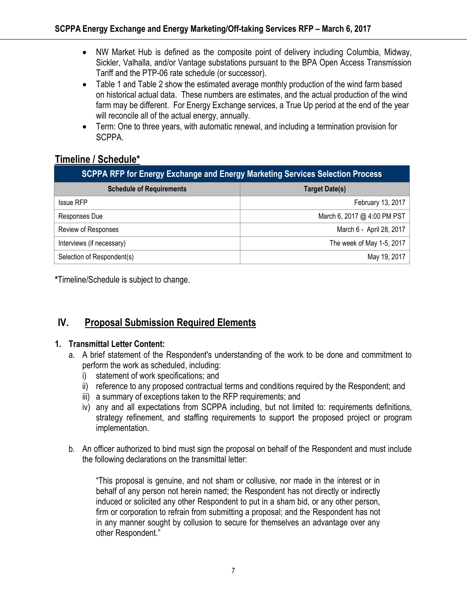- NW Market Hub is defined as the composite point of delivery including Columbia, Midway, Sickler, Valhalla, and/or Vantage substations pursuant to the BPA Open Access Transmission Tariff and the PTP-06 rate schedule (or successor).
- Table 1 and Table 2 show the estimated average monthly production of the wind farm based on historical actual data. These numbers are estimates, and the actual production of the wind farm may be different. For Energy Exchange services, a True Up period at the end of the year will reconcile all of the actual energy, annually.
- Term: One to three years, with automatic renewal, and including a termination provision for SCPPA.

## **Timeline / Schedule\***

| SCPPA RFP for Energy Exchange and Energy Marketing Services Selection Process |                             |  |  |  |  |  |  |
|-------------------------------------------------------------------------------|-----------------------------|--|--|--|--|--|--|
| <b>Schedule of Requirements</b>                                               | <b>Target Date(s)</b>       |  |  |  |  |  |  |
| <b>Issue RFP</b>                                                              | February 13, 2017           |  |  |  |  |  |  |
| Responses Due                                                                 | March 6, 2017 @ 4:00 PM PST |  |  |  |  |  |  |
| Review of Responses                                                           | March 6 - April 28, 2017    |  |  |  |  |  |  |
| Interviews (if necessary)                                                     | The week of May 1-5, 2017   |  |  |  |  |  |  |
| Selection of Respondent(s)                                                    | May 19, 2017                |  |  |  |  |  |  |

**\***Timeline/Schedule is subject to change.

# **IV. Proposal Submission Required Elements**

#### **1. Transmittal Letter Content:**

- a. A brief statement of the Respondent's understanding of the work to be done and commitment to perform the work as scheduled, including:
	- i) statement of work specifications; and
	- ii) reference to any proposed contractual terms and conditions required by the Respondent; and
	- iii) a summary of exceptions taken to the RFP requirements; and
	- iv) any and all expectations from SCPPA including, but not limited to: requirements definitions, strategy refinement, and staffing requirements to support the proposed project or program implementation.
- b. An officer authorized to bind must sign the proposal on behalf of the Respondent and must include the following declarations on the transmittal letter:

"This proposal is genuine, and not sham or collusive, nor made in the interest or in behalf of any person not herein named; the Respondent has not directly or indirectly induced or solicited any other Respondent to put in a sham bid, or any other person, firm or corporation to refrain from submitting a proposal; and the Respondent has not in any manner sought by collusion to secure for themselves an advantage over any other Respondent."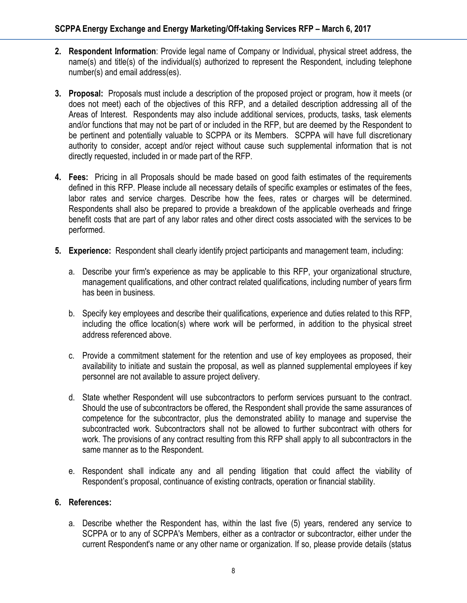- **2. Respondent Information**: Provide legal name of Company or Individual, physical street address, the name(s) and title(s) of the individual(s) authorized to represent the Respondent, including telephone number(s) and email address(es).
- **3. Proposal:** Proposals must include a description of the proposed project or program, how it meets (or does not meet) each of the objectives of this RFP, and a detailed description addressing all of the Areas of Interest. Respondents may also include additional services, products, tasks, task elements and/or functions that may not be part of or included in the RFP, but are deemed by the Respondent to be pertinent and potentially valuable to SCPPA or its Members. SCPPA will have full discretionary authority to consider, accept and/or reject without cause such supplemental information that is not directly requested, included in or made part of the RFP.
- **4. Fees:** Pricing in all Proposals should be made based on good faith estimates of the requirements defined in this RFP. Please include all necessary details of specific examples or estimates of the fees, labor rates and service charges. Describe how the fees, rates or charges will be determined. Respondents shall also be prepared to provide a breakdown of the applicable overheads and fringe benefit costs that are part of any labor rates and other direct costs associated with the services to be performed.
- **5. Experience:** Respondent shall clearly identify project participants and management team, including:
	- a. Describe your firm's experience as may be applicable to this RFP, your organizational structure, management qualifications, and other contract related qualifications, including number of years firm has been in business.
	- b. Specify key employees and describe their qualifications, experience and duties related to this RFP, including the office location(s) where work will be performed, in addition to the physical street address referenced above.
	- c. Provide a commitment statement for the retention and use of key employees as proposed, their availability to initiate and sustain the proposal, as well as planned supplemental employees if key personnel are not available to assure project delivery.
	- d. State whether Respondent will use subcontractors to perform services pursuant to the contract. Should the use of subcontractors be offered, the Respondent shall provide the same assurances of competence for the subcontractor, plus the demonstrated ability to manage and supervise the subcontracted work. Subcontractors shall not be allowed to further subcontract with others for work. The provisions of any contract resulting from this RFP shall apply to all subcontractors in the same manner as to the Respondent.
	- e. Respondent shall indicate any and all pending litigation that could affect the viability of Respondent's proposal, continuance of existing contracts, operation or financial stability.

#### **6. References:**

a. Describe whether the Respondent has, within the last five (5) years, rendered any service to SCPPA or to any of SCPPA's Members, either as a contractor or subcontractor, either under the current Respondent's name or any other name or organization. If so, please provide details (status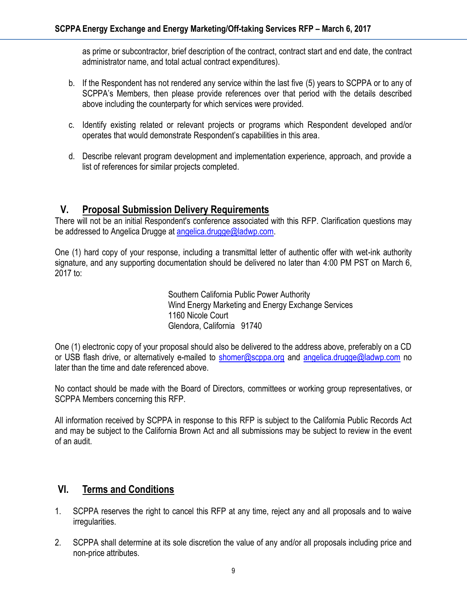as prime or subcontractor, brief description of the contract, contract start and end date, the contract administrator name, and total actual contract expenditures).

- b. If the Respondent has not rendered any service within the last five (5) years to SCPPA or to any of SCPPA's Members, then please provide references over that period with the details described above including the counterparty for which services were provided.
- c. Identify existing related or relevant projects or programs which Respondent developed and/or operates that would demonstrate Respondent's capabilities in this area.
- d. Describe relevant program development and implementation experience, approach, and provide a list of references for similar projects completed.

### **V. Proposal Submission Delivery Requirements**

There will not be an initial Respondent's conference associated with this RFP. Clarification questions may be addressed to Angelica Drugge at [angelica.drugge@ladwp.com.](mailto:angelica.drugge@ladwp.com)

One (1) hard copy of your response, including a transmittal letter of authentic offer with wet-ink authority signature, and any supporting documentation should be delivered no later than 4:00 PM PST on March 6, 2017 to:

> Southern California Public Power Authority Wind Energy Marketing and Energy Exchange Services 1160 Nicole Court Glendora, California 91740

One (1) electronic copy of your proposal should also be delivered to the address above, preferably on a CD or USB flash drive, or alternatively e-mailed to [shomer@scppa.org](mailto:shomer@scppa.org) and [angelica.drugge@ladwp.com](mailto:angelica.drugge@ladwp.com) no later than the time and date referenced above.

No contact should be made with the Board of Directors, committees or working group representatives, or SCPPA Members concerning this RFP.

All information received by SCPPA in response to this RFP is subject to the California Public Records Act and may be subject to the California Brown Act and all submissions may be subject to review in the event of an audit.

### **VI. Terms and Conditions**

- 1. SCPPA reserves the right to cancel this RFP at any time, reject any and all proposals and to waive irregularities.
- 2. SCPPA shall determine at its sole discretion the value of any and/or all proposals including price and non-price attributes.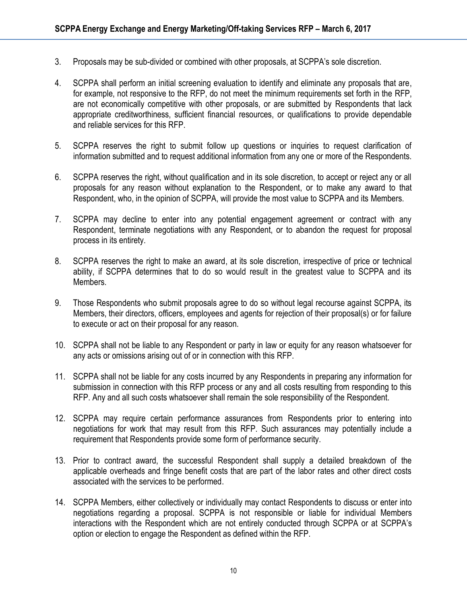- 3. Proposals may be sub-divided or combined with other proposals, at SCPPA's sole discretion.
- 4. SCPPA shall perform an initial screening evaluation to identify and eliminate any proposals that are, for example, not responsive to the RFP, do not meet the minimum requirements set forth in the RFP, are not economically competitive with other proposals, or are submitted by Respondents that lack appropriate creditworthiness, sufficient financial resources, or qualifications to provide dependable and reliable services for this RFP.
- 5. SCPPA reserves the right to submit follow up questions or inquiries to request clarification of information submitted and to request additional information from any one or more of the Respondents.
- 6. SCPPA reserves the right, without qualification and in its sole discretion, to accept or reject any or all proposals for any reason without explanation to the Respondent, or to make any award to that Respondent, who, in the opinion of SCPPA, will provide the most value to SCPPA and its Members.
- 7. SCPPA may decline to enter into any potential engagement agreement or contract with any Respondent, terminate negotiations with any Respondent, or to abandon the request for proposal process in its entirety.
- 8. SCPPA reserves the right to make an award, at its sole discretion, irrespective of price or technical ability, if SCPPA determines that to do so would result in the greatest value to SCPPA and its Members.
- 9. Those Respondents who submit proposals agree to do so without legal recourse against SCPPA, its Members, their directors, officers, employees and agents for rejection of their proposal(s) or for failure to execute or act on their proposal for any reason.
- 10. SCPPA shall not be liable to any Respondent or party in law or equity for any reason whatsoever for any acts or omissions arising out of or in connection with this RFP.
- 11. SCPPA shall not be liable for any costs incurred by any Respondents in preparing any information for submission in connection with this RFP process or any and all costs resulting from responding to this RFP. Any and all such costs whatsoever shall remain the sole responsibility of the Respondent.
- 12. SCPPA may require certain performance assurances from Respondents prior to entering into negotiations for work that may result from this RFP. Such assurances may potentially include a requirement that Respondents provide some form of performance security.
- 13. Prior to contract award, the successful Respondent shall supply a detailed breakdown of the applicable overheads and fringe benefit costs that are part of the labor rates and other direct costs associated with the services to be performed.
- 14. SCPPA Members, either collectively or individually may contact Respondents to discuss or enter into negotiations regarding a proposal. SCPPA is not responsible or liable for individual Members interactions with the Respondent which are not entirely conducted through SCPPA or at SCPPA's option or election to engage the Respondent as defined within the RFP.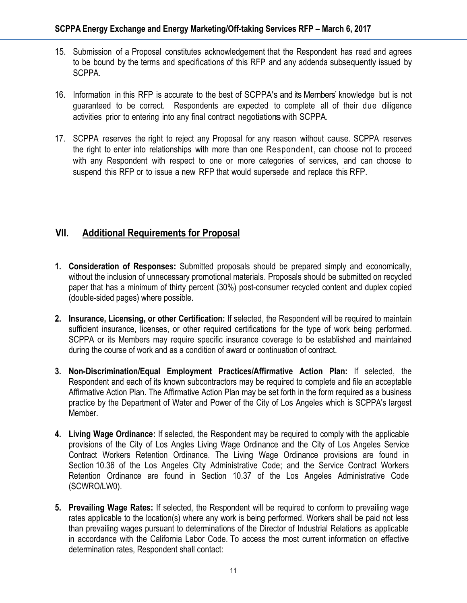- 15. Submission of a Proposal constitutes acknowledgement that the Respondent has read and agrees to be bound by the terms and specifications of this RFP and any addenda subsequently issued by SCPPA.
- 16. Information in this RFP is accurate to the best of SCPPA's and its Members' knowledge but is not guaranteed to be correct. Respondents are expected to complete all of their due diligence activities prior to entering into any final contract negotiations with SCPPA.
- 17. SCPPA reserves the right to reject any Proposal for any reason without cause. SCPPA reserves the right to enter into relationships with more than one Respondent, can choose not to proceed with any Respondent with respect to one or more categories of services, and can choose to suspend this RFP or to issue a new RFP that would supersede and replace this RFP.

## **VII. Additional Requirements for Proposal**

- **1. Consideration of Responses:** Submitted proposals should be prepared simply and economically, without the inclusion of unnecessary promotional materials. Proposals should be submitted on recycled paper that has a minimum of thirty percent (30%) post-consumer recycled content and duplex copied (double-sided pages) where possible.
- **2. Insurance, Licensing, or other Certification:** If selected, the Respondent will be required to maintain sufficient insurance, licenses, or other required certifications for the type of work being performed. SCPPA or its Members may require specific insurance coverage to be established and maintained during the course of work and as a condition of award or continuation of contract.
- **3. Non-Discrimination/Equal Employment Practices/Affirmative Action Plan:** If selected, the Respondent and each of its known subcontractors may be required to complete and file an acceptable Affirmative Action Plan. The Affirmative Action Plan may be set forth in the form required as a business practice by the Department of Water and Power of the City of Los Angeles which is SCPPA's largest Member.
- **4. Living Wage Ordinance:** If selected, the Respondent may be required to comply with the applicable provisions of the City of Los Angles Living Wage Ordinance and the City of Los Angeles Service Contract Workers Retention Ordinance. The Living Wage Ordinance provisions are found in Section 10.36 of the Los Angeles City Administrative Code; and the Service Contract Workers Retention Ordinance are found in Section 10.37 of the Los Angeles Administrative Code (SCWRO/LW0).
- **5. Prevailing Wage Rates:** If selected, the Respondent will be required to conform to prevailing wage rates applicable to the location(s) where any work is being performed. Workers shall be paid not less than prevailing wages pursuant to determinations of the Director of Industrial Relations as applicable in accordance with the California Labor Code. To access the most current information on effective determination rates, Respondent shall contact: